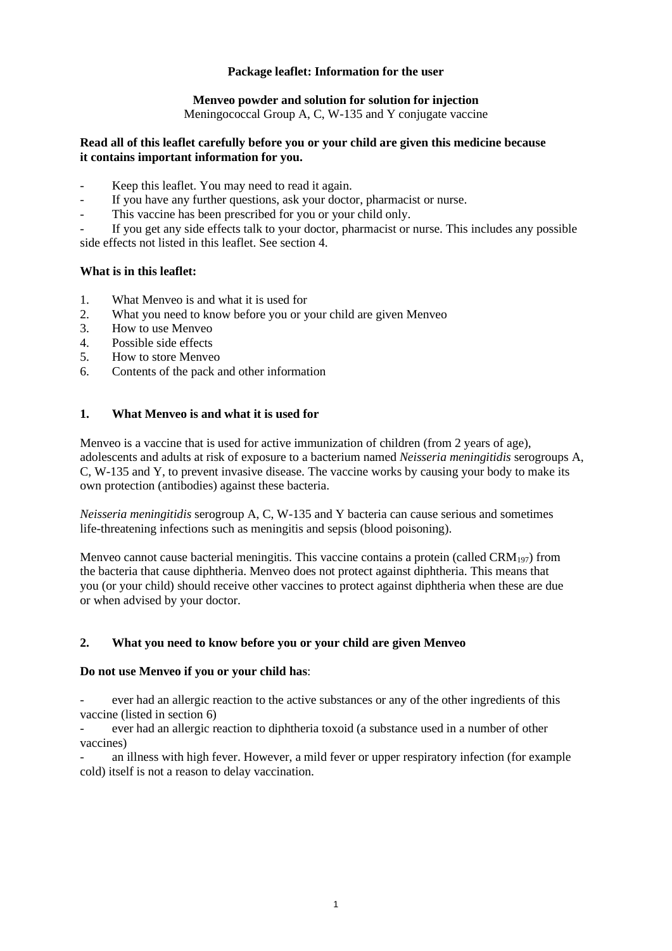# **Package leaflet: Information for the user**

# **Menveo powder and solution for solution for injection**

Meningococcal Group A, C, W-135 and Y conjugate vaccine

### **Read all of this leaflet carefully before you or your child are given this medicine because it contains important information for you.**

- Keep this leaflet. You may need to read it again.
- If you have any further questions, ask your doctor, pharmacist or nurse.
- This vaccine has been prescribed for you or your child only.

If you get any side effects talk to your doctor, pharmacist or nurse. This includes any possible side effects not listed in this leaflet. See section 4.

## **What is in this leaflet:**

- 1. What Menveo is and what it is used for
- 2. What you need to know before you or your child are given Menveo
- 3. How to use Menveo
- 4. Possible side effects
- 5. How to store Menveo
- 6. Contents of the pack and other information

# **1. What Menveo is and what it is used for**

Menveo is a vaccine that is used for active immunization of children (from 2 years of age), adolescents and adults at risk of exposure to a bacterium named *Neisseria meningitidis* serogroups A, C, W-135 and Y, to prevent invasive disease*.* The vaccine works by causing your body to make its own protection (antibodies) against these bacteria.

*Neisseria meningitidis* serogroup A, C, W-135 and Y bacteria can cause serious and sometimes life-threatening infections such as meningitis and sepsis (blood poisoning).

Menveo cannot cause bacterial meningitis. This vaccine contains a protein (called  $\text{CRM}_{197}$ ) from the bacteria that cause diphtheria. Menveo does not protect against diphtheria. This means that you (or your child) should receive other vaccines to protect against diphtheria when these are due or when advised by your doctor.

# **2. What you need to know before you or your child are given Menveo**

### **Do not use Menveo if you or your child has**:

ever had an allergic reaction to the active substances or any of the other ingredients of this vaccine (listed in section 6)

- ever had an allergic reaction to diphtheria toxoid (a substance used in a number of other vaccines)

an illness with high fever. However, a mild fever or upper respiratory infection (for example cold) itself is not a reason to delay vaccination.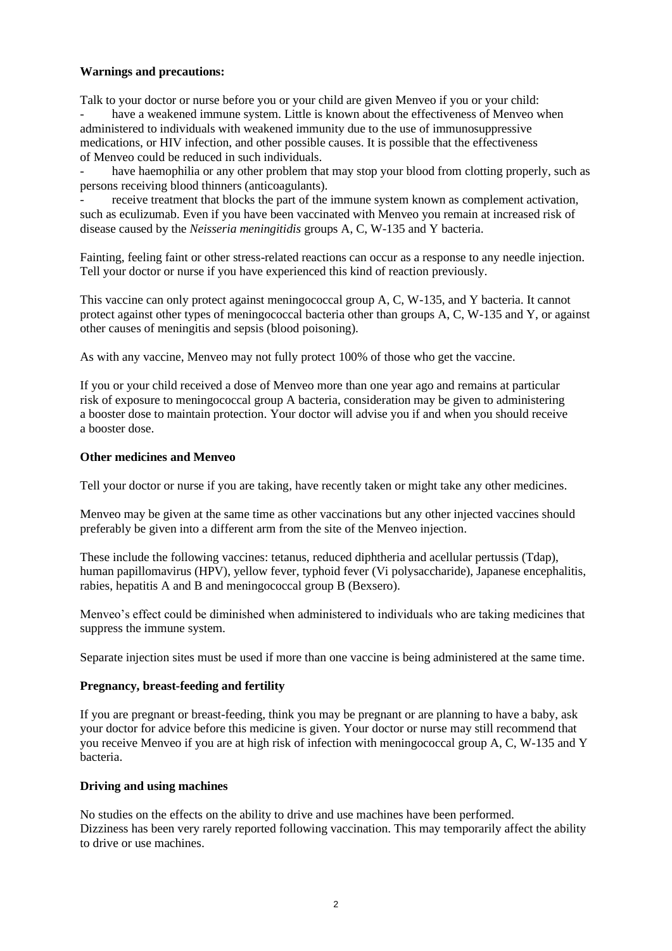## **Warnings and precautions:**

Talk to your doctor or nurse before you or your child are given Menveo if you or your child: have a weakened immune system. Little is known about the effectiveness of Menveo when administered to individuals with weakened immunity due to the use of immunosuppressive medications, or HIV infection, and other possible causes. It is possible that the effectiveness of Menveo could be reduced in such individuals.

have haemophilia or any other problem that may stop your blood from clotting properly, such as persons receiving blood thinners (anticoagulants).

receive treatment that blocks the part of the immune system known as complement activation, such as eculizumab. Even if you have been vaccinated with Menveo you remain at increased risk of disease caused by the *Neisseria meningitidis* groups A, C, W-135 and Y bacteria.

Fainting, feeling faint or other stress-related reactions can occur as a response to any needle injection. Tell your doctor or nurse if you have experienced this kind of reaction previously.

This vaccine can only protect against meningococcal group A, C, W-135, and Y bacteria. It cannot protect against other types of meningococcal bacteria other than groups A, C, W-135 and Y, or against other causes of meningitis and sepsis (blood poisoning).

As with any vaccine, Menveo may not fully protect 100% of those who get the vaccine.

If you or your child received a dose of Menveo more than one year ago and remains at particular risk of exposure to meningococcal group A bacteria, consideration may be given to administering a booster dose to maintain protection. Your doctor will advise you if and when you should receive a booster dose.

#### **Other medicines and Menveo**

Tell your doctor or nurse if you are taking, have recently taken or might take any other medicines.

Menveo may be given at the same time as other vaccinations but any other injected vaccines should preferably be given into a different arm from the site of the Menveo injection.

These include the following vaccines: tetanus, reduced diphtheria and acellular pertussis (Tdap), human papillomavirus (HPV), yellow fever, typhoid fever (Vi polysaccharide), Japanese encephalitis, rabies, hepatitis A and B and meningococcal group B (Bexsero).

Menveo's effect could be diminished when administered to individuals who are taking medicines that suppress the immune system.

Separate injection sites must be used if more than one vaccine is being administered at the same time.

### **Pregnancy, breast-feeding and fertility**

If you are pregnant or breast-feeding, think you may be pregnant or are planning to have a baby, ask your doctor for advice before this medicine is given. Your doctor or nurse may still recommend that you receive Menveo if you are at high risk of infection with meningococcal group A, C, W-135 and Y bacteria.

### **Driving and using machines**

No studies on the effects on the ability to drive and use machines have been performed. Dizziness has been very rarely reported following vaccination. This may temporarily affect the ability to drive or use machines.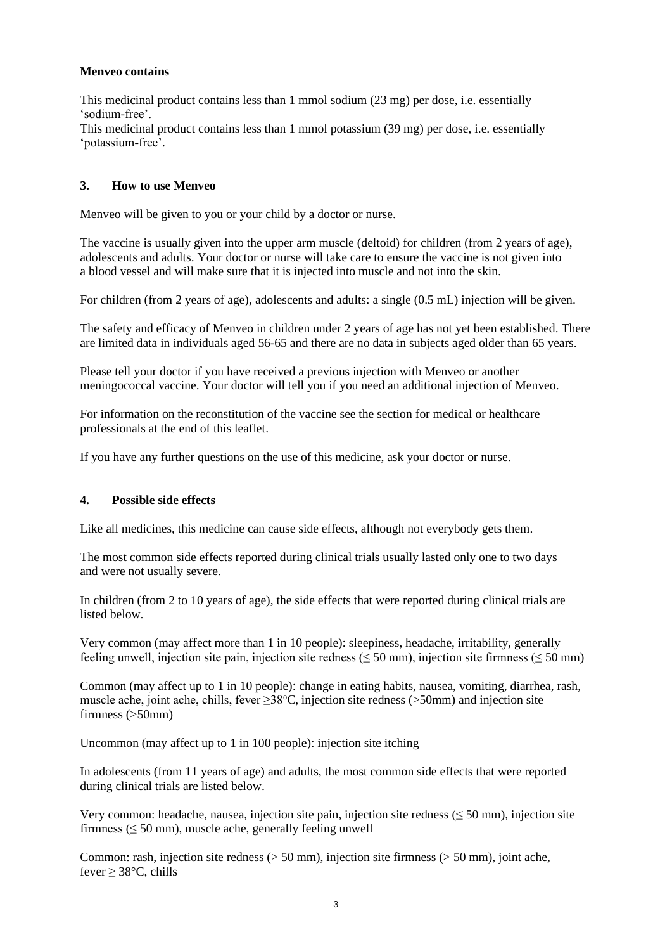## **Menveo contains**

This medicinal product contains less than 1 mmol sodium (23 mg) per dose, i.e. essentially 'sodium-free'.

This medicinal product contains less than 1 mmol potassium (39 mg) per dose, i.e. essentially 'potassium-free'.

## **3. How to use Menveo**

Menveo will be given to you or your child by a doctor or nurse.

The vaccine is usually given into the upper arm muscle (deltoid) for children (from 2 years of age), adolescents and adults. Your doctor or nurse will take care to ensure the vaccine is not given into a blood vessel and will make sure that it is injected into muscle and not into the skin.

For children (from 2 years of age), adolescents and adults: a single (0.5 mL) injection will be given.

The safety and efficacy of Menveo in children under 2 years of age has not yet been established. There are limited data in individuals aged 56-65 and there are no data in subjects aged older than 65 years.

Please tell your doctor if you have received a previous injection with Menveo or another meningococcal vaccine. Your doctor will tell you if you need an additional injection of Menveo.

For information on the reconstitution of the vaccine see the section for medical or healthcare professionals at the end of this leaflet.

If you have any further questions on the use of this medicine, ask your doctor or nurse.

### **4. Possible side effects**

Like all medicines, this medicine can cause side effects, although not everybody gets them.

The most common side effects reported during clinical trials usually lasted only one to two days and were not usually severe.

In children (from 2 to 10 years of age), the side effects that were reported during clinical trials are listed below.

Very common (may affect more than 1 in 10 people): sleepiness, headache, irritability, generally feeling unwell, injection site pain, injection site redness ( $\leq$  50 mm), injection site firmness ( $\leq$  50 mm)

Common (may affect up to 1 in 10 people): change in eating habits, nausea, vomiting, diarrhea, rash, muscle ache, joint ache, chills, fever  $\geq 38^{\circ}$ C, injection site redness (>50mm) and injection site firmness (>50mm)

Uncommon (may affect up to 1 in 100 people): injection site itching

In adolescents (from 11 years of age) and adults, the most common side effects that were reported during clinical trials are listed below.

Very common: headache, nausea, injection site pain, injection site redness ( $\leq$  50 mm), injection site firmness ( $\leq 50$  mm), muscle ache, generally feeling unwell

Common: rash, injection site redness ( $> 50$  mm), injection site firmness ( $> 50$  mm), joint ache, fever  $\geq$  38°C, chills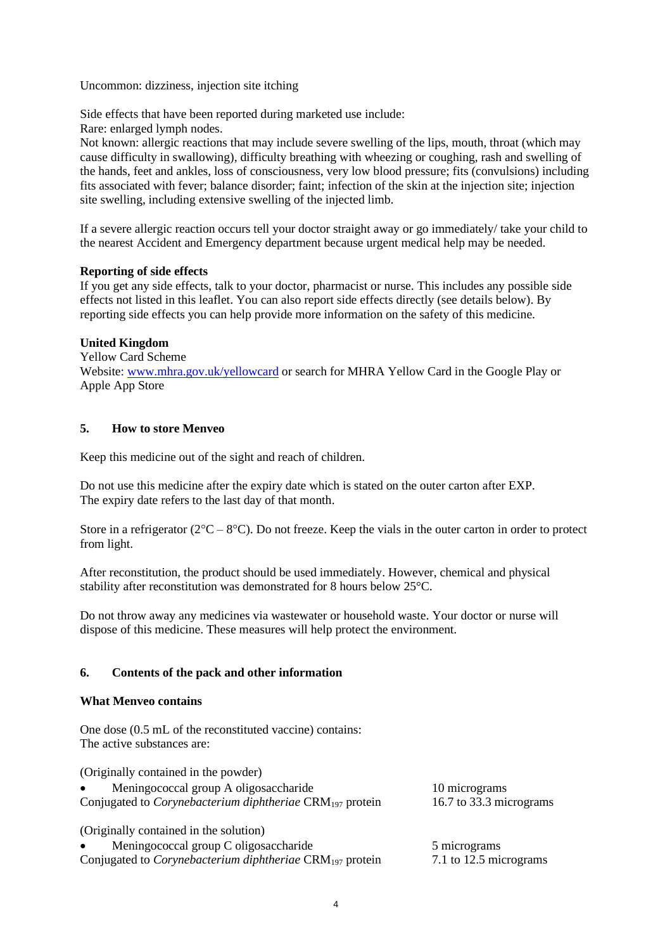Uncommon: dizziness, injection site itching

Side effects that have been reported during marketed use include:

Rare: enlarged lymph nodes.

Not known: allergic reactions that may include severe swelling of the lips, mouth, throat (which may cause difficulty in swallowing), difficulty breathing with wheezing or coughing, rash and swelling of the hands, feet and ankles, loss of consciousness, very low blood pressure; fits (convulsions) including fits associated with fever; balance disorder; faint; infection of the skin at the injection site; injection site swelling, including extensive swelling of the injected limb.

If a severe allergic reaction occurs tell your doctor straight away or go immediately/ take your child to the nearest Accident and Emergency department because urgent medical help may be needed.

## **Reporting of side effects**

If you get any side effects, talk to your doctor, pharmacist or nurse. This includes any possible side effects not listed in this leaflet. You can also report side effects directly (see details below). By reporting side effects you can help provide more information on the safety of this medicine.

## **United Kingdom**

Yellow Card Scheme Website[: www.mhra.gov.uk/yellowcard](http://www.mhra.gov.uk/yellowcard) or search for MHRA Yellow Card in the Google Play or Apple App Store

## **5. How to store Menveo**

Keep this medicine out of the sight and reach of children.

Do not use this medicine after the expiry date which is stated on the outer carton after EXP. The expiry date refers to the last day of that month.

Store in a refrigerator ( $2^{\circ}\text{C} - 8^{\circ}\text{C}$ ). Do not freeze. Keep the vials in the outer carton in order to protect from light.

After reconstitution, the product should be used immediately. However, chemical and physical stability after reconstitution was demonstrated for 8 hours below 25°C.

Do not throw away any medicines via wastewater or household waste. Your doctor or nurse will dispose of this medicine. These measures will help protect the environment.

### **6. Contents of the pack and other information**

### **What Menveo contains**

One dose (0.5 mL of the reconstituted vaccine) contains: The active substances are:

(Originally contained in the powder) • Meningococcal group A oligosaccharide 10 micrograms Conjugated to *Corynebacterium diphtheriae* CRM<sup>197</sup> protein 16.7 to 33.3 micrograms (Originally contained in the solution) Meningococcal group C oligosaccharide 5 micrograms Conjugated to *Corynebacterium diphtheriae* CRM<sup>197</sup> protein 7.1 to 12.5 micrograms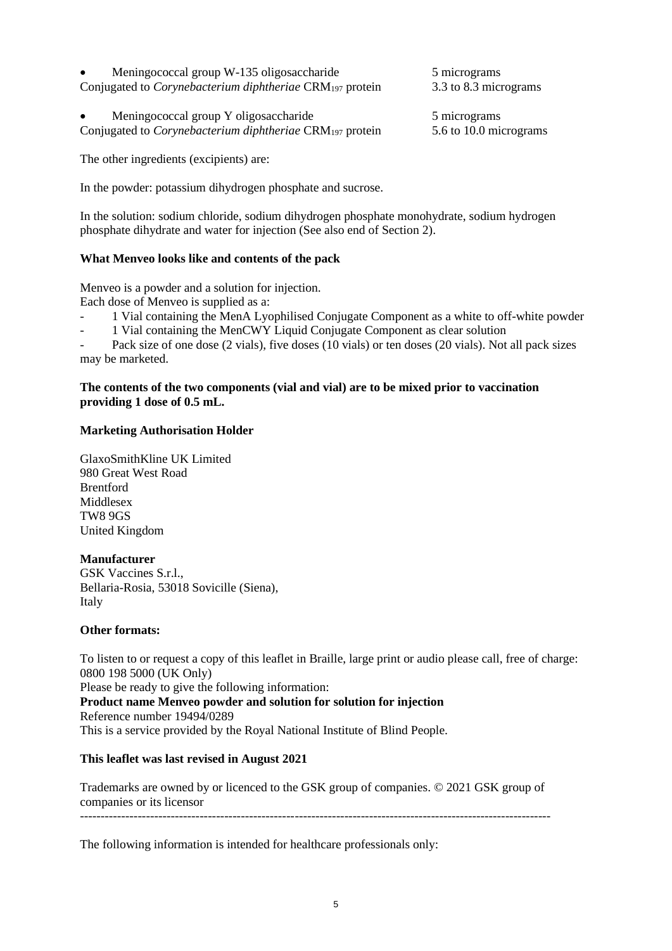| $\bullet$ | Meningococcal group W-135 oligosaccharide                            |  |
|-----------|----------------------------------------------------------------------|--|
|           | Conjugated to <i>Corynebacterium diphtheriae</i> $CRM_{197}$ protein |  |

• Meningococcal group Y oligosaccharide 5 micrograms Conjugated to *Corynebacterium diphtheriae* CRM<sup>197</sup> protein 5.6 to 10.0 micrograms

The other ingredients (excipients) are:

In the powder: potassium dihydrogen phosphate and sucrose.

In the solution: sodium chloride, sodium dihydrogen phosphate monohydrate, sodium hydrogen phosphate dihydrate and water for injection (See also end of Section 2).

## **What Menveo looks like and contents of the pack**

Menveo is a powder and a solution for injection.

Each dose of Menveo is supplied as a:

- 1 Vial containing the MenA Lyophilised Conjugate Component as a white to off-white powder
- 1 Vial containing the MenCWY Liquid Conjugate Component as clear solution

Pack size of one dose (2 vials), five doses (10 vials) or ten doses (20 vials). Not all pack sizes may be marketed.

#### **The contents of the two components (vial and vial) are to be mixed prior to vaccination providing 1 dose of 0.5 mL.**

### **Marketing Authorisation Holder**

GlaxoSmithKline UK Limited 980 Great West Road Brentford Middlesex TW8 9GS United Kingdom

### **Manufacturer**

GSK Vaccines S.r.l., Bellaria-Rosia, 53018 Sovicille (Siena), Italy

#### **Other formats:**

To listen to or request a copy of this leaflet in Braille, large print or audio please call, free of charge: 0800 198 5000 (UK Only) Please be ready to give the following information: **Product name Menveo powder and solution for solution for injection**  Reference number 19494/0289 This is a service provided by the Royal National Institute of Blind People.

### **This leaflet was last revised in August 2021**

Trademarks are owned by or licenced to the GSK group of companies. © 2021 GSK group of companies or its licensor ------------------------------------------------------------------------------------------------------------------

The following information is intended for healthcare professionals only:

3.3 to 8.3 micrograms

5 micrograms